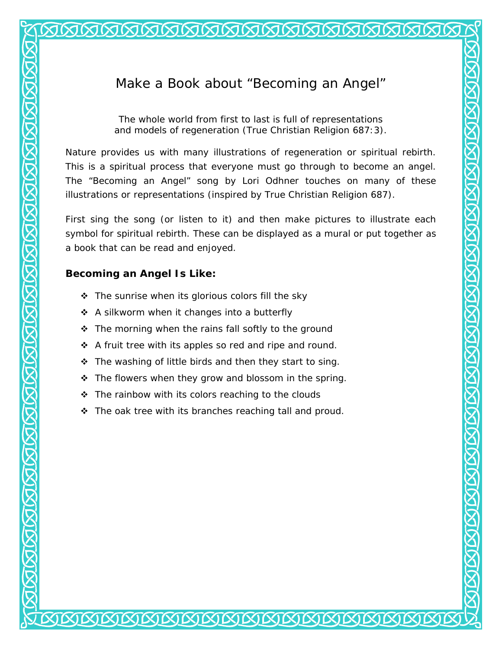## Make a Book about "Becoming an Angel"

*The whole world from first to last is full of representations and models of regeneration (*True Christian Religion *687:3).* 

Nature provides us with many illustrations of regeneration or spiritual rebirth. This is a spiritual process that everyone must go through to become an angel. The "Becoming an Angel" song by Lori Odhner touches on many of these illustrations or representations (inspired by *True Christian Religion* 687).

First sing the song (or listen to it) and then make pictures to illustrate each symbol for spiritual rebirth. These can be displayed as a mural or put together as a book that can be read and enjoyed.

## **Becoming an Angel Is Like:**

- $\div$  The sunrise when its glorious colors fill the sky
- ❖ A silkworm when it changes into a butterfly
- $\div$  The morning when the rains fall softly to the ground
- $\div$  A fruit tree with its apples so red and ripe and round.
- $\div$  The washing of little birds and then they start to sing.
- $\cdot \cdot$  The flowers when they grow and blossom in the spring.
- $\div$  The rainbow with its colors reaching to the clouds
- $\div$  The oak tree with its branches reaching tall and proud.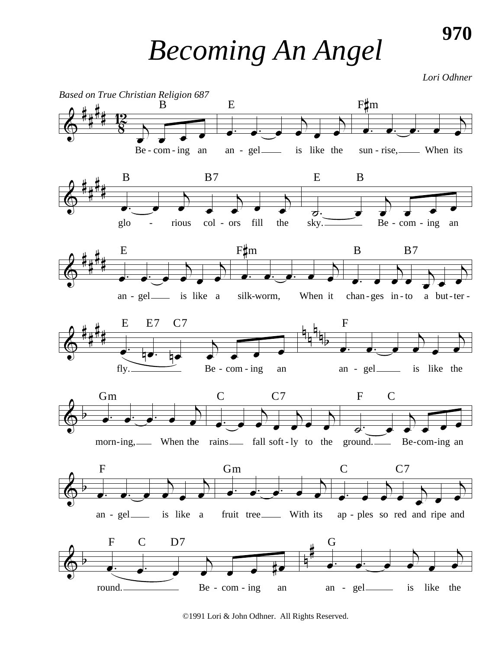*Becoming An Angel*

*Lori Odhner*



<sup>©1991</sup> Lori & John Odhner. All Rights Reserved.